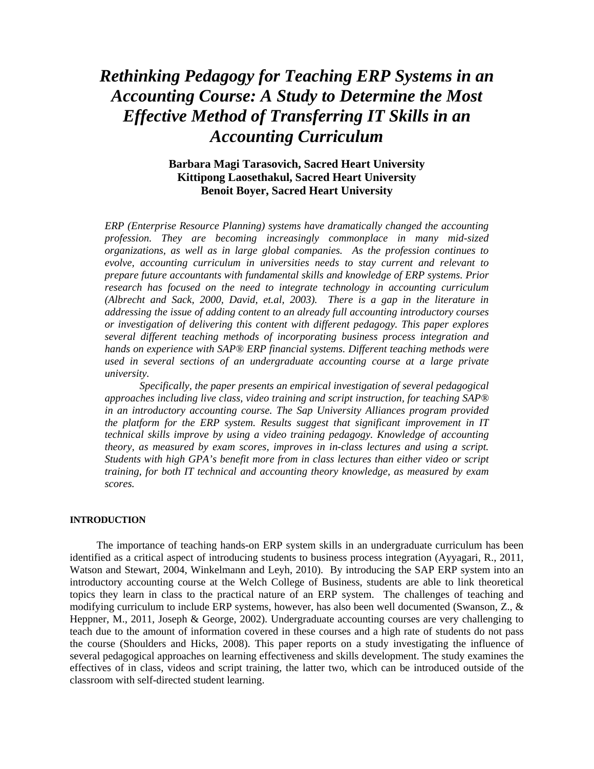# *Rethinking Pedagogy for Teaching ERP Systems in an Accounting Course: A Study to Determine the Most Effective Method of Transferring IT Skills in an Accounting Curriculum*

### **Barbara Magi Tarasovich, Sacred Heart University Kittipong Laosethakul, Sacred Heart University Benoit Boyer, Sacred Heart University**

*ERP (Enterprise Resource Planning) systems have dramatically changed the accounting profession. They are becoming increasingly commonplace in many mid-sized organizations, as well as in large global companies. As the profession continues to evolve, accounting curriculum in universities needs to stay current and relevant to prepare future accountants with fundamental skills and knowledge of ERP systems. Prior research has focused on the need to integrate technology in accounting curriculum (Albrecht and Sack, 2000, David, et.al, 2003). There is a gap in the literature in addressing the issue of adding content to an already full accounting introductory courses or investigation of delivering this content with different pedagogy. This paper explores several different teaching methods of incorporating business process integration and hands on experience with SAP® ERP financial systems. Different teaching methods were used in several sections of an undergraduate accounting course at a large private university.* 

*Specifically, the paper presents an empirical investigation of several pedagogical approaches including live class, video training and script instruction, for teaching SAP® in an introductory accounting course. The Sap University Alliances program provided the platform for the ERP system. Results suggest that significant improvement in IT technical skills improve by using a video training pedagogy. Knowledge of accounting theory, as measured by exam scores, improves in in-class lectures and using a script. Students with high GPA's benefit more from in class lectures than either video or script training, for both IT technical and accounting theory knowledge, as measured by exam scores.* 

#### **INTRODUCTION**

 The importance of teaching hands-on ERP system skills in an undergraduate curriculum has been identified as a critical aspect of introducing students to business process integration (Ayyagari, R., 2011, Watson and Stewart, 2004, Winkelmann and Leyh, 2010). By introducing the SAP ERP system into an introductory accounting course at the Welch College of Business, students are able to link theoretical topics they learn in class to the practical nature of an ERP system. The challenges of teaching and modifying curriculum to include ERP systems, however, has also been well documented (Swanson, Z., & Heppner, M., 2011, Joseph & George, 2002). Undergraduate accounting courses are very challenging to teach due to the amount of information covered in these courses and a high rate of students do not pass the course (Shoulders and Hicks, 2008). This paper reports on a study investigating the influence of several pedagogical approaches on learning effectiveness and skills development. The study examines the effectives of in class, videos and script training, the latter two, which can be introduced outside of the classroom with self-directed student learning.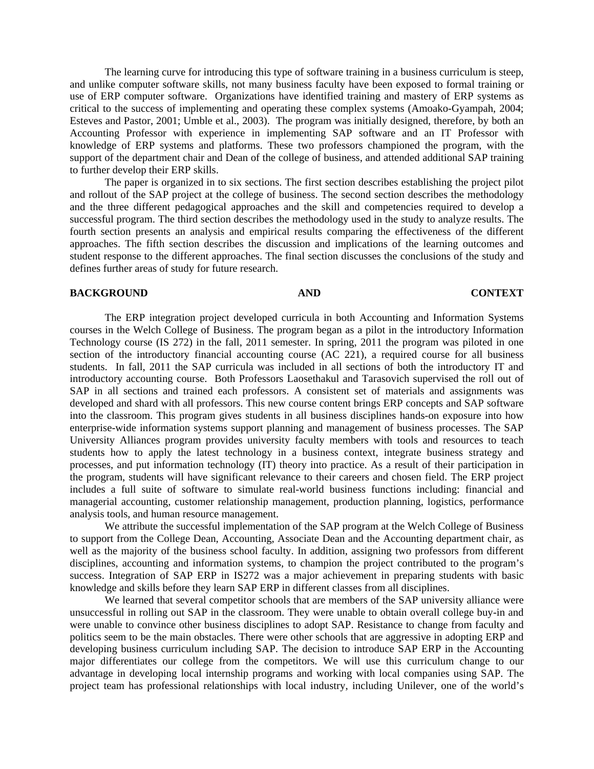The learning curve for introducing this type of software training in a business curriculum is steep, and unlike computer software skills, not many business faculty have been exposed to formal training or use of ERP computer software. Organizations have identified training and mastery of ERP systems as critical to the success of implementing and operating these complex systems (Amoako-Gyampah, 2004; Esteves and Pastor, 2001; Umble et al., 2003). The program was initially designed, therefore, by both an Accounting Professor with experience in implementing SAP software and an IT Professor with knowledge of ERP systems and platforms. These two professors championed the program, with the support of the department chair and Dean of the college of business, and attended additional SAP training to further develop their ERP skills.

The paper is organized in to six sections. The first section describes establishing the project pilot and rollout of the SAP project at the college of business. The second section describes the methodology and the three different pedagogical approaches and the skill and competencies required to develop a successful program. The third section describes the methodology used in the study to analyze results. The fourth section presents an analysis and empirical results comparing the effectiveness of the different approaches. The fifth section describes the discussion and implications of the learning outcomes and student response to the different approaches. The final section discusses the conclusions of the study and defines further areas of study for future research.

#### **BACKGROUND AND CONTEXT**

The ERP integration project developed curricula in both Accounting and Information Systems courses in the Welch College of Business. The program began as a pilot in the introductory Information Technology course (IS 272) in the fall, 2011 semester. In spring, 2011 the program was piloted in one section of the introductory financial accounting course ( $AC$  221), a required course for all business students. In fall, 2011 the SAP curricula was included in all sections of both the introductory IT and introductory accounting course. Both Professors Laosethakul and Tarasovich supervised the roll out of SAP in all sections and trained each professors. A consistent set of materials and assignments was developed and shard with all professors. This new course content brings ERP concepts and SAP software into the classroom. This program gives students in all business disciplines hands-on exposure into how enterprise-wide information systems support planning and management of business processes. The SAP University Alliances program provides university faculty members with tools and resources to teach students how to apply the latest technology in a business context, integrate business strategy and processes, and put information technology (IT) theory into practice. As a result of their participation in the program, students will have significant relevance to their careers and chosen field. The ERP project includes a full suite of software to simulate real-world business functions including: financial and managerial accounting, customer relationship management, production planning, logistics, performance analysis tools, and human resource management.

We attribute the successful implementation of the SAP program at the Welch College of Business to support from the College Dean, Accounting, Associate Dean and the Accounting department chair, as well as the majority of the business school faculty. In addition, assigning two professors from different disciplines, accounting and information systems, to champion the project contributed to the program's success. Integration of SAP ERP in IS272 was a major achievement in preparing students with basic knowledge and skills before they learn SAP ERP in different classes from all disciplines.

We learned that several competitor schools that are members of the SAP university alliance were unsuccessful in rolling out SAP in the classroom. They were unable to obtain overall college buy-in and were unable to convince other business disciplines to adopt SAP. Resistance to change from faculty and politics seem to be the main obstacles. There were other schools that are aggressive in adopting ERP and developing business curriculum including SAP. The decision to introduce SAP ERP in the Accounting major differentiates our college from the competitors. We will use this curriculum change to our advantage in developing local internship programs and working with local companies using SAP. The project team has professional relationships with local industry, including Unilever, one of the world's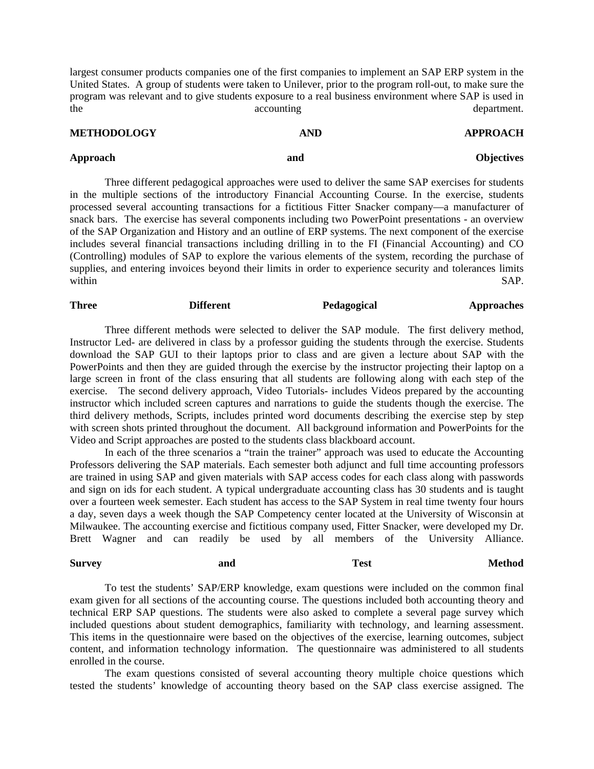largest consumer products companies one of the first companies to implement an SAP ERP system in the United States. A group of students were taken to Unilever, prior to the program roll-out, to make sure the program was relevant and to give students exposure to a real business environment where SAP is used in the accounting accounting department.

| <b>METHODOLOGY</b> | <b>AND</b> | <b>APPROACH</b>   |
|--------------------|------------|-------------------|
| Approach           | and        | <b>Objectives</b> |

Three different pedagogical approaches were used to deliver the same SAP exercises for students in the multiple sections of the introductory Financial Accounting Course. In the exercise, students processed several accounting transactions for a fictitious Fitter Snacker company—a manufacturer of snack bars. The exercise has several components including two PowerPoint presentations - an overview of the SAP Organization and History and an outline of ERP systems. The next component of the exercise includes several financial transactions including drilling in to the FI (Financial Accounting) and CO (Controlling) modules of SAP to explore the various elements of the system, recording the purchase of supplies, and entering invoices beyond their limits in order to experience security and tolerances limits within SAP.

### **Three 2008 Different Pedagogical Approaches**

Three different methods were selected to deliver the SAP module. The first delivery method, Instructor Led- are delivered in class by a professor guiding the students through the exercise. Students download the SAP GUI to their laptops prior to class and are given a lecture about SAP with the PowerPoints and then they are guided through the exercise by the instructor projecting their laptop on a large screen in front of the class ensuring that all students are following along with each step of the exercise. The second delivery approach, Video Tutorials- includes Videos prepared by the accounting instructor which included screen captures and narrations to guide the students though the exercise. The third delivery methods, Scripts, includes printed word documents describing the exercise step by step with screen shots printed throughout the document. All background information and PowerPoints for the Video and Script approaches are posted to the students class blackboard account.

 In each of the three scenarios a "train the trainer" approach was used to educate the Accounting Professors delivering the SAP materials. Each semester both adjunct and full time accounting professors are trained in using SAP and given materials with SAP access codes for each class along with passwords and sign on ids for each student. A typical undergraduate accounting class has 30 students and is taught over a fourteen week semester. Each student has access to the SAP System in real time twenty four hours a day, seven days a week though the SAP Competency center located at the University of Wisconsin at Milwaukee. The accounting exercise and fictitious company used, Fitter Snacker, were developed my Dr. Brett Wagner and can readily be used by all members of the University Alliance.

### Survey and and Test Method

 To test the students' SAP/ERP knowledge, exam questions were included on the common final exam given for all sections of the accounting course. The questions included both accounting theory and technical ERP SAP questions. The students were also asked to complete a several page survey which included questions about student demographics, familiarity with technology, and learning assessment. This items in the questionnaire were based on the objectives of the exercise, learning outcomes, subject content, and information technology information. The questionnaire was administered to all students enrolled in the course.

The exam questions consisted of several accounting theory multiple choice questions which tested the students' knowledge of accounting theory based on the SAP class exercise assigned. The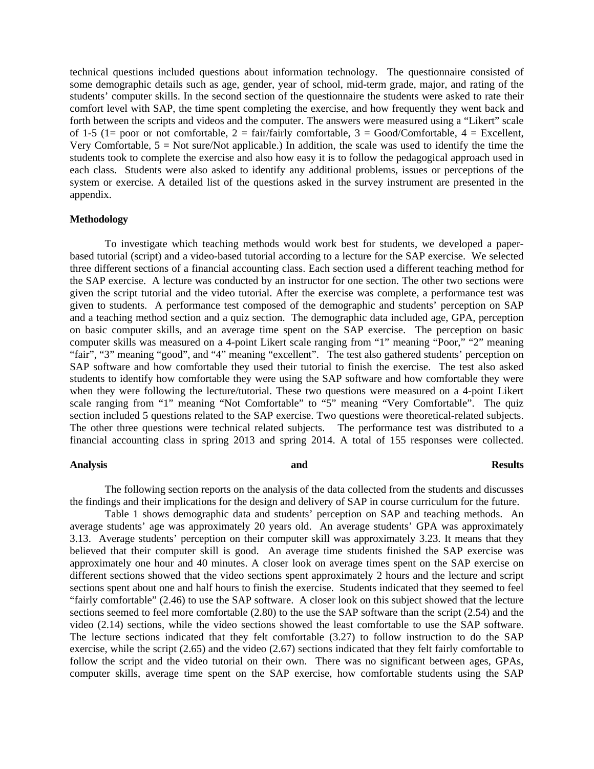technical questions included questions about information technology. The questionnaire consisted of some demographic details such as age, gender, year of school, mid-term grade, major, and rating of the students' computer skills. In the second section of the questionnaire the students were asked to rate their comfort level with SAP, the time spent completing the exercise, and how frequently they went back and forth between the scripts and videos and the computer. The answers were measured using a "Likert" scale of 1-5 (1= poor or not comfortable,  $2 = \text{fair/fairly comfortable}$ ,  $3 = \text{Good/Comfortable}$ ,  $4 = \text{Excellent}$ , Very Comfortable,  $5 = Not sure/Not applicable)$  In addition, the scale was used to identify the time the students took to complete the exercise and also how easy it is to follow the pedagogical approach used in each class. Students were also asked to identify any additional problems, issues or perceptions of the system or exercise. A detailed list of the questions asked in the survey instrument are presented in the appendix.

#### **Methodology**

To investigate which teaching methods would work best for students, we developed a paperbased tutorial (script) and a video-based tutorial according to a lecture for the SAP exercise. We selected three different sections of a financial accounting class. Each section used a different teaching method for the SAP exercise. A lecture was conducted by an instructor for one section. The other two sections were given the script tutorial and the video tutorial. After the exercise was complete, a performance test was given to students. A performance test composed of the demographic and students' perception on SAP and a teaching method section and a quiz section. The demographic data included age, GPA, perception on basic computer skills, and an average time spent on the SAP exercise. The perception on basic computer skills was measured on a 4-point Likert scale ranging from "1" meaning "Poor," "2" meaning "fair", "3" meaning "good", and "4" meaning "excellent". The test also gathered students' perception on SAP software and how comfortable they used their tutorial to finish the exercise. The test also asked students to identify how comfortable they were using the SAP software and how comfortable they were when they were following the lecture/tutorial. These two questions were measured on a 4-point Likert scale ranging from "1" meaning "Not Comfortable" to "5" meaning "Very Comfortable". The quiz section included 5 questions related to the SAP exercise. Two questions were theoretical-related subjects. The other three questions were technical related subjects. The performance test was distributed to a financial accounting class in spring 2013 and spring 2014. A total of 155 responses were collected.

#### **Analysis and Results**

The following section reports on the analysis of the data collected from the students and discusses the findings and their implications for the design and delivery of SAP in course curriculum for the future.

Table 1 shows demographic data and students' perception on SAP and teaching methods. An average students' age was approximately 20 years old. An average students' GPA was approximately 3.13. Average students' perception on their computer skill was approximately 3.23. It means that they believed that their computer skill is good. An average time students finished the SAP exercise was approximately one hour and 40 minutes. A closer look on average times spent on the SAP exercise on different sections showed that the video sections spent approximately 2 hours and the lecture and script sections spent about one and half hours to finish the exercise. Students indicated that they seemed to feel "fairly comfortable" (2.46) to use the SAP software. A closer look on this subject showed that the lecture sections seemed to feel more comfortable (2.80) to the use the SAP software than the script (2.54) and the video (2.14) sections, while the video sections showed the least comfortable to use the SAP software. The lecture sections indicated that they felt comfortable (3.27) to follow instruction to do the SAP exercise, while the script (2.65) and the video (2.67) sections indicated that they felt fairly comfortable to follow the script and the video tutorial on their own. There was no significant between ages, GPAs, computer skills, average time spent on the SAP exercise, how comfortable students using the SAP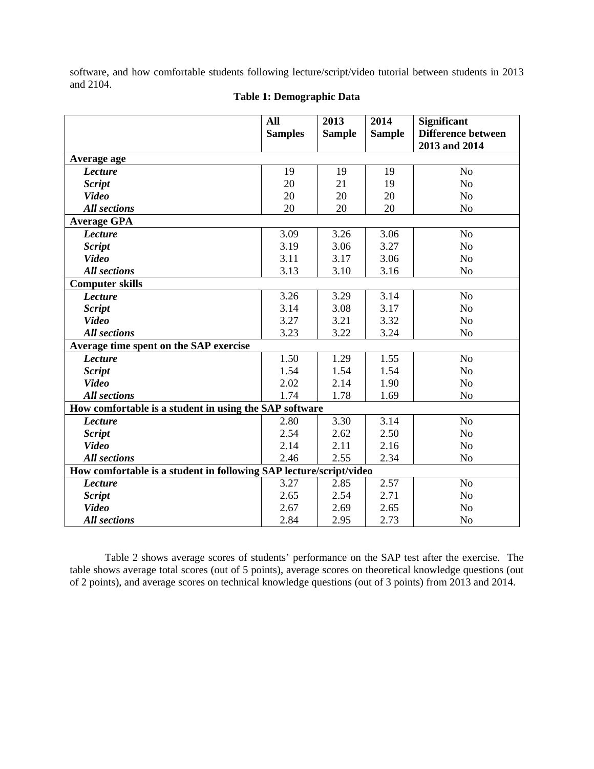software, and how comfortable students following lecture/script/video tutorial between students in 2013 and 2104.

|                                                        | All<br><b>Samples</b>                                              | 2013<br><b>Sample</b> | 2014<br><b>Sample</b> | <b>Significant</b><br><b>Difference between</b><br>2013 and 2014 |  |  |
|--------------------------------------------------------|--------------------------------------------------------------------|-----------------------|-----------------------|------------------------------------------------------------------|--|--|
| Average age                                            |                                                                    |                       |                       |                                                                  |  |  |
| <b>Lecture</b>                                         | 19                                                                 | 19                    | 19                    | N <sub>o</sub>                                                   |  |  |
| <b>Script</b>                                          | 20                                                                 | 21                    | 19                    | N <sub>o</sub>                                                   |  |  |
| <b>Video</b>                                           | 20                                                                 | 20                    | 20                    | N <sub>o</sub>                                                   |  |  |
| <b>All sections</b>                                    | 20                                                                 | 20                    | 20                    | N <sub>o</sub>                                                   |  |  |
| <b>Average GPA</b>                                     |                                                                    |                       |                       |                                                                  |  |  |
| <b>Lecture</b>                                         | 3.09                                                               | 3.26                  | 3.06                  | N <sub>o</sub>                                                   |  |  |
| <b>Script</b>                                          | 3.19                                                               | 3.06                  | 3.27                  | N <sub>o</sub>                                                   |  |  |
| <b>Video</b>                                           | 3.11                                                               | 3.17                  | 3.06                  | N <sub>o</sub>                                                   |  |  |
| <b>All sections</b>                                    | 3.13                                                               | 3.10                  | 3.16                  | N <sub>o</sub>                                                   |  |  |
| <b>Computer skills</b>                                 |                                                                    |                       |                       |                                                                  |  |  |
| <b>Lecture</b>                                         | 3.26                                                               | 3.29                  | 3.14                  | N <sub>o</sub>                                                   |  |  |
| <b>Script</b>                                          | 3.14                                                               | 3.08                  | 3.17                  | N <sub>o</sub>                                                   |  |  |
| <b>Video</b>                                           | 3.27                                                               | 3.21                  | 3.32                  | N <sub>o</sub>                                                   |  |  |
| <b>All sections</b>                                    | 3.23                                                               | 3.22                  | 3.24                  | N <sub>o</sub>                                                   |  |  |
| Average time spent on the SAP exercise                 |                                                                    |                       |                       |                                                                  |  |  |
| <b>Lecture</b>                                         | 1.50                                                               | 1.29                  | 1.55                  | N <sub>o</sub>                                                   |  |  |
| <b>Script</b>                                          | 1.54                                                               | 1.54                  | 1.54                  | N <sub>o</sub>                                                   |  |  |
| <b>Video</b>                                           | 2.02                                                               | 2.14                  | 1.90                  | N <sub>o</sub>                                                   |  |  |
| <b>All sections</b>                                    | 1.74                                                               | 1.78                  | 1.69                  | N <sub>o</sub>                                                   |  |  |
| How comfortable is a student in using the SAP software |                                                                    |                       |                       |                                                                  |  |  |
| <b>Lecture</b>                                         | 2.80                                                               | 3.30                  | 3.14                  | N <sub>o</sub>                                                   |  |  |
| <b>Script</b>                                          | 2.54                                                               | 2.62                  | 2.50                  | N <sub>o</sub>                                                   |  |  |
| <b>Video</b>                                           | 2.14                                                               | 2.11                  | 2.16                  | N <sub>o</sub>                                                   |  |  |
| <b>All sections</b>                                    | 2.46                                                               | 2.55                  | 2.34                  | N <sub>o</sub>                                                   |  |  |
|                                                        | How comfortable is a student in following SAP lecture/script/video |                       |                       |                                                                  |  |  |
| <b>Lecture</b>                                         | 3.27                                                               | 2.85                  | 2.57                  | N <sub>o</sub>                                                   |  |  |
| <b>Script</b>                                          | 2.65                                                               | 2.54                  | 2.71                  | N <sub>o</sub>                                                   |  |  |
| <b>Video</b>                                           | 2.67                                                               | 2.69                  | 2.65                  | N <sub>o</sub>                                                   |  |  |
| <b>All sections</b>                                    | 2.84                                                               | 2.95                  | 2.73                  | N <sub>o</sub>                                                   |  |  |

### **Table 1: Demographic Data**

Table 2 shows average scores of students' performance on the SAP test after the exercise. The table shows average total scores (out of 5 points), average scores on theoretical knowledge questions (out of 2 points), and average scores on technical knowledge questions (out of 3 points) from 2013 and 2014.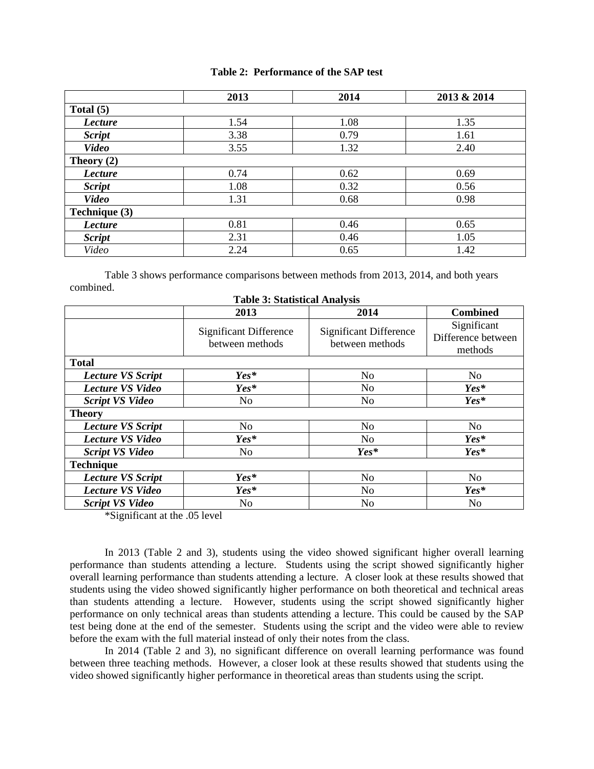### **Table 2: Performance of the SAP test**

|                | 2013 | 2014 | 2013 & 2014 |  |  |  |  |
|----------------|------|------|-------------|--|--|--|--|
| Total $(5)$    |      |      |             |  |  |  |  |
| <b>Lecture</b> | 1.54 | 1.08 | 1.35        |  |  |  |  |
| <b>Script</b>  | 3.38 | 0.79 | 1.61        |  |  |  |  |
| <b>Video</b>   | 3.55 | 1.32 | 2.40        |  |  |  |  |
| Theory $(2)$   |      |      |             |  |  |  |  |
| Lecture        | 0.74 | 0.62 | 0.69        |  |  |  |  |
| <b>Script</b>  | 1.08 | 0.32 | 0.56        |  |  |  |  |
| <b>Video</b>   | 1.31 | 0.68 | 0.98        |  |  |  |  |
| Technique (3)  |      |      |             |  |  |  |  |
| <b>Lecture</b> | 0.81 | 0.46 | 0.65        |  |  |  |  |
| <b>Script</b>  | 2.31 | 0.46 | 1.05        |  |  |  |  |
| Video          | 2.24 | 0.65 | 1.42        |  |  |  |  |

Table 3 shows performance comparisons between methods from 2013, 2014, and both years combined.

|                          | 2013                                             | 2014                                             | <b>Combined</b>                              |
|--------------------------|--------------------------------------------------|--------------------------------------------------|----------------------------------------------|
|                          | <b>Significant Difference</b><br>between methods | <b>Significant Difference</b><br>between methods | Significant<br>Difference between<br>methods |
| <b>Total</b>             |                                                  |                                                  |                                              |
| <b>Lecture VS Script</b> | $Yes*$                                           | N <sub>0</sub>                                   | N <sub>0</sub>                               |
| <b>Lecture VS Video</b>  | $Yes*$                                           | N <sub>o</sub>                                   | $Yes*$                                       |
| <b>Script VS Video</b>   | N <sub>0</sub>                                   | N <sub>0</sub>                                   | $Yes*$                                       |
| <b>Theory</b>            |                                                  |                                                  |                                              |
| <b>Lecture VS Script</b> | N <sub>o</sub>                                   | N <sub>o</sub>                                   | N <sub>o</sub>                               |
| <b>Lecture VS Video</b>  | $Yes*$                                           | N <sub>0</sub>                                   | $Yes*$                                       |
| <b>Script VS Video</b>   | No.                                              | $Yes*$                                           | $Yes*$                                       |
| <b>Technique</b>         |                                                  |                                                  |                                              |
| <b>Lecture VS Script</b> | Yes*                                             | N <sub>o</sub>                                   | N <sub>0</sub>                               |
| <b>Lecture VS Video</b>  | Yes*                                             | N <sub>0</sub>                                   | $Yes*$                                       |
| <b>Script VS Video</b>   | N <sub>0</sub>                                   | N <sub>o</sub>                                   | N <sub>o</sub>                               |

**Table 3: Statistical Analysis** 

\*Significant at the .05 level

In 2013 (Table 2 and 3), students using the video showed significant higher overall learning performance than students attending a lecture. Students using the script showed significantly higher overall learning performance than students attending a lecture. A closer look at these results showed that students using the video showed significantly higher performance on both theoretical and technical areas than students attending a lecture. However, students using the script showed significantly higher performance on only technical areas than students attending a lecture. This could be caused by the SAP test being done at the end of the semester. Students using the script and the video were able to review before the exam with the full material instead of only their notes from the class.

In 2014 (Table 2 and 3), no significant difference on overall learning performance was found between three teaching methods. However, a closer look at these results showed that students using the video showed significantly higher performance in theoretical areas than students using the script.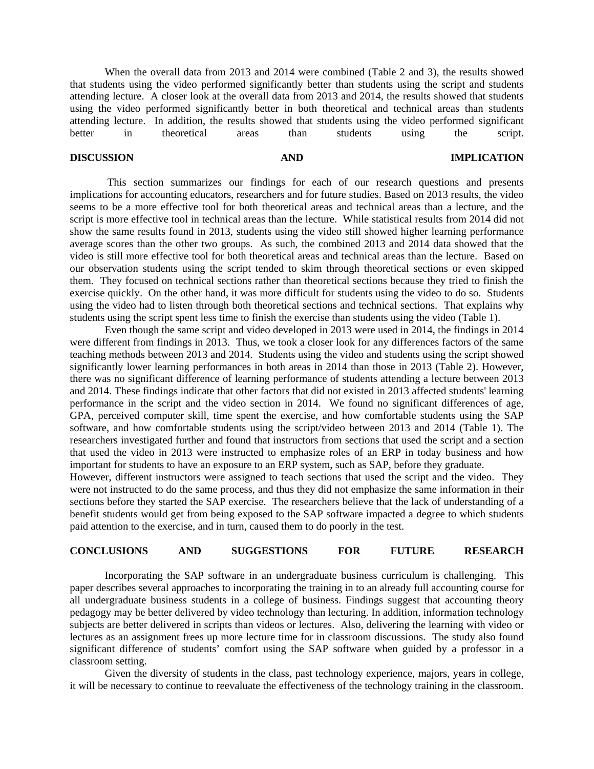When the overall data from 2013 and 2014 were combined (Table 2 and 3), the results showed that students using the video performed significantly better than students using the script and students attending lecture. A closer look at the overall data from 2013 and 2014, the results showed that students using the video performed significantly better in both theoretical and technical areas than students attending lecture. In addition, the results showed that students using the video performed significant better in theoretical areas than students using the script.

### **DISCUSSION AND IMPLICATION**

 This section summarizes our findings for each of our research questions and presents implications for accounting educators, researchers and for future studies. Based on 2013 results, the video seems to be a more effective tool for both theoretical areas and technical areas than a lecture, and the script is more effective tool in technical areas than the lecture. While statistical results from 2014 did not show the same results found in 2013, students using the video still showed higher learning performance average scores than the other two groups. As such, the combined 2013 and 2014 data showed that the video is still more effective tool for both theoretical areas and technical areas than the lecture. Based on our observation students using the script tended to skim through theoretical sections or even skipped them. They focused on technical sections rather than theoretical sections because they tried to finish the exercise quickly. On the other hand, it was more difficult for students using the video to do so. Students using the video had to listen through both theoretical sections and technical sections. That explains why students using the script spent less time to finish the exercise than students using the video (Table 1).

Even though the same script and video developed in 2013 were used in 2014, the findings in 2014 were different from findings in 2013. Thus, we took a closer look for any differences factors of the same teaching methods between 2013 and 2014. Students using the video and students using the script showed significantly lower learning performances in both areas in 2014 than those in 2013 (Table 2). However, there was no significant difference of learning performance of students attending a lecture between 2013 and 2014. These findings indicate that other factors that did not existed in 2013 affected students' learning performance in the script and the video section in 2014. We found no significant differences of age, GPA, perceived computer skill, time spent the exercise, and how comfortable students using the SAP software, and how comfortable students using the script/video between 2013 and 2014 (Table 1). The researchers investigated further and found that instructors from sections that used the script and a section that used the video in 2013 were instructed to emphasize roles of an ERP in today business and how important for students to have an exposure to an ERP system, such as SAP, before they graduate.

However, different instructors were assigned to teach sections that used the script and the video. They were not instructed to do the same process, and thus they did not emphasize the same information in their sections before they started the SAP exercise. The researchers believe that the lack of understanding of a benefit students would get from being exposed to the SAP software impacted a degree to which students paid attention to the exercise, and in turn, caused them to do poorly in the test.

### **CONCLUSIONS AND SUGGESTIONS FOR FUTURE RESEARCH**

Incorporating the SAP software in an undergraduate business curriculum is challenging. This paper describes several approaches to incorporating the training in to an already full accounting course for all undergraduate business students in a college of business. Findings suggest that accounting theory pedagogy may be better delivered by video technology than lecturing. In addition, information technology subjects are better delivered in scripts than videos or lectures. Also, delivering the learning with video or lectures as an assignment frees up more lecture time for in classroom discussions. The study also found significant difference of students' comfort using the SAP software when guided by a professor in a classroom setting.

Given the diversity of students in the class, past technology experience, majors, years in college, it will be necessary to continue to reevaluate the effectiveness of the technology training in the classroom.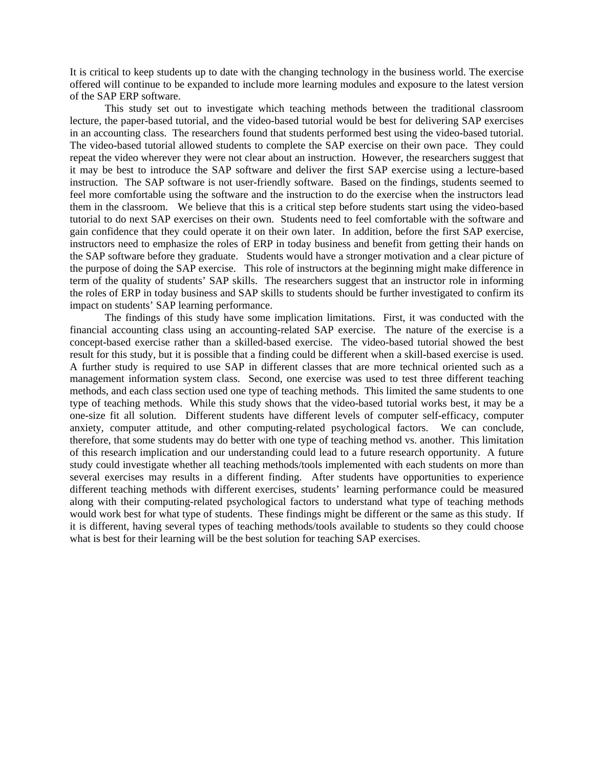It is critical to keep students up to date with the changing technology in the business world. The exercise offered will continue to be expanded to include more learning modules and exposure to the latest version of the SAP ERP software.

This study set out to investigate which teaching methods between the traditional classroom lecture, the paper-based tutorial, and the video-based tutorial would be best for delivering SAP exercises in an accounting class. The researchers found that students performed best using the video-based tutorial. The video-based tutorial allowed students to complete the SAP exercise on their own pace. They could repeat the video wherever they were not clear about an instruction. However, the researchers suggest that it may be best to introduce the SAP software and deliver the first SAP exercise using a lecture-based instruction. The SAP software is not user-friendly software. Based on the findings, students seemed to feel more comfortable using the software and the instruction to do the exercise when the instructors lead them in the classroom. We believe that this is a critical step before students start using the video-based tutorial to do next SAP exercises on their own. Students need to feel comfortable with the software and gain confidence that they could operate it on their own later. In addition, before the first SAP exercise, instructors need to emphasize the roles of ERP in today business and benefit from getting their hands on the SAP software before they graduate. Students would have a stronger motivation and a clear picture of the purpose of doing the SAP exercise. This role of instructors at the beginning might make difference in term of the quality of students' SAP skills. The researchers suggest that an instructor role in informing the roles of ERP in today business and SAP skills to students should be further investigated to confirm its impact on students' SAP learning performance.

The findings of this study have some implication limitations. First, it was conducted with the financial accounting class using an accounting-related SAP exercise. The nature of the exercise is a concept-based exercise rather than a skilled-based exercise. The video-based tutorial showed the best result for this study, but it is possible that a finding could be different when a skill-based exercise is used. A further study is required to use SAP in different classes that are more technical oriented such as a management information system class. Second, one exercise was used to test three different teaching methods, and each class section used one type of teaching methods. This limited the same students to one type of teaching methods. While this study shows that the video-based tutorial works best, it may be a one-size fit all solution. Different students have different levels of computer self-efficacy, computer anxiety, computer attitude, and other computing-related psychological factors. We can conclude, therefore, that some students may do better with one type of teaching method vs. another. This limitation of this research implication and our understanding could lead to a future research opportunity. A future study could investigate whether all teaching methods/tools implemented with each students on more than several exercises may results in a different finding. After students have opportunities to experience different teaching methods with different exercises, students' learning performance could be measured along with their computing-related psychological factors to understand what type of teaching methods would work best for what type of students. These findings might be different or the same as this study. If it is different, having several types of teaching methods/tools available to students so they could choose what is best for their learning will be the best solution for teaching SAP exercises.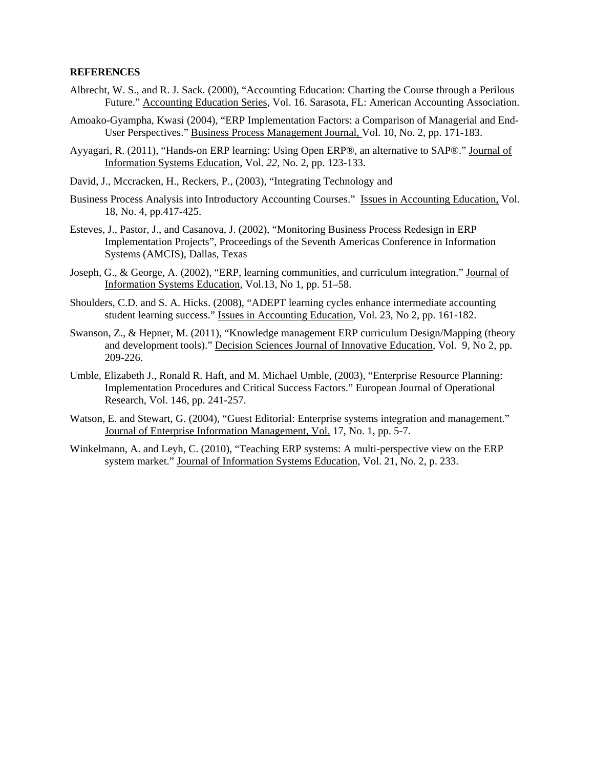#### **REFERENCES**

- Albrecht, W. S., and R. J. Sack. (2000), "Accounting Education: Charting the Course through a Perilous Future." Accounting Education Series, Vol. 16. Sarasota, FL: American Accounting Association.
- Amoako-Gyampha, Kwasi (2004), "ERP Implementation Factors: a Comparison of Managerial and End-User Perspectives." Business Process Management Journal, Vol. 10, No. 2, pp. 171-183.
- Ayyagari, R. (2011), "Hands-on ERP learning: Using Open ERP®, an alternative to SAP®." Journal of Information Systems Education, Vol. *22*, No. 2, pp. 123-133.
- David, J., Mccracken, H., Reckers, P., (2003), "Integrating Technology and
- Business Process Analysis into Introductory Accounting Courses." Issues in Accounting Education, Vol. 18, No. 4, pp.417-425.
- Esteves, J., Pastor, J., and Casanova, J. (2002), "Monitoring Business Process Redesign in ERP Implementation Projects", Proceedings of the Seventh Americas Conference in Information Systems (AMCIS), Dallas, Texas
- Joseph, G., & George, A. (2002), "ERP, learning communities, and curriculum integration." Journal of Information Systems Education, Vol.13, No 1, pp. 51–58.
- Shoulders, C.D. and S. A. Hicks. (2008), "ADEPT learning cycles enhance intermediate accounting student learning success." Issues in Accounting Education, Vol. 23, No 2, pp. 161-182.
- Swanson, Z., & Hepner, M. (2011), "Knowledge management ERP curriculum Design/Mapping (theory and development tools)." Decision Sciences Journal of Innovative Education*,* Vol. 9, No 2, pp. 209-226.
- Umble, Elizabeth J., Ronald R. Haft, and M. Michael Umble, (2003), "Enterprise Resource Planning: Implementation Procedures and Critical Success Factors." European Journal of Operational Research, Vol. 146, pp. 241-257.
- Watson, E. and Stewart, G. (2004), "Guest Editorial: Enterprise systems integration and management." Journal of Enterprise Information Management, Vol. 17, No. 1, pp. 5-7.
- Winkelmann, A. and Leyh, C. (2010), "Teaching ERP systems: A multi-perspective view on the ERP system market." Journal of Information Systems Education, Vol. 21, No. 2, p. 233.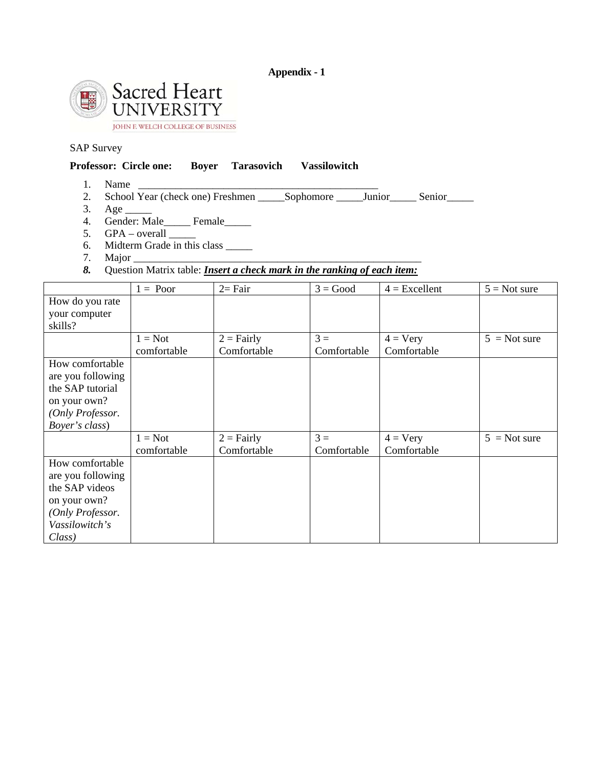# **Appendix - 1**



# SAP Survey

|    | <b>Professor: Circle one:</b> Boyer Tarasovich Vassilowitch                        |  |  |
|----|------------------------------------------------------------------------------------|--|--|
|    | Name                                                                               |  |  |
|    | 2. School Year (check one) Freshmen _______ Sophomore _______ Junior ______ Senior |  |  |
| 3. |                                                                                    |  |  |
|    | 4. Gender: Male Female                                                             |  |  |
| 5. | GPA – overall                                                                      |  |  |
| 6. | Midterm Grade in this class                                                        |  |  |

7. Major $\_\_$ 

# *8.* Question Matrix table: *Insert a check mark in the ranking of each item:*

|                   | $1 = Poor$  | $2=$ Fair    | $3 = Good$  | $4 =$ Excellent   | $5 = Not sure$ |
|-------------------|-------------|--------------|-------------|-------------------|----------------|
| How do you rate   |             |              |             |                   |                |
| your computer     |             |              |             |                   |                |
| skills?           |             |              |             |                   |                |
|                   | $1 = Not$   | $2 =$ Fairly | $3 =$       | $4 = \text{Very}$ | $5 = Not sure$ |
|                   | comfortable | Comfortable  | Comfortable | Comfortable       |                |
| How comfortable   |             |              |             |                   |                |
| are you following |             |              |             |                   |                |
| the SAP tutorial  |             |              |             |                   |                |
| on your own?      |             |              |             |                   |                |
| (Only Professor.  |             |              |             |                   |                |
| Boyer's class)    |             |              |             |                   |                |
|                   | $1 = Not$   | $2 =$ Fairly | $3 =$       | $4 = \text{Very}$ | $5 = Not sure$ |
|                   | comfortable | Comfortable  | Comfortable | Comfortable       |                |
| How comfortable   |             |              |             |                   |                |
| are you following |             |              |             |                   |                |
| the SAP videos    |             |              |             |                   |                |
| on your own?      |             |              |             |                   |                |
| (Only Professor.  |             |              |             |                   |                |
| Vassilowitch's    |             |              |             |                   |                |
| Class)            |             |              |             |                   |                |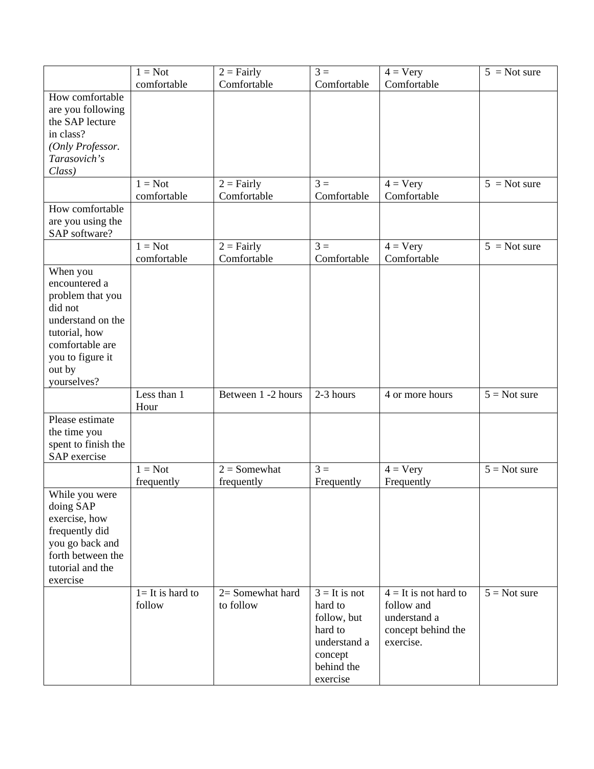|                                                                                                                                                                | $1 = Not$                     | $2 = \text{Fairly}$                | $3 =$                                                                                                     | $4 = Very$                                                                               | $5 = Not sure$ |
|----------------------------------------------------------------------------------------------------------------------------------------------------------------|-------------------------------|------------------------------------|-----------------------------------------------------------------------------------------------------------|------------------------------------------------------------------------------------------|----------------|
|                                                                                                                                                                | comfortable                   | Comfortable                        | Comfortable                                                                                               | Comfortable                                                                              |                |
| How comfortable<br>are you following<br>the SAP lecture<br>in class?<br>(Only Professor.<br>Tarasovich's<br>Class)                                             |                               |                                    |                                                                                                           |                                                                                          |                |
|                                                                                                                                                                | $1 = Not$<br>comfortable      | $2 = \text{Fairly}$<br>Comfortable | $3 =$<br>Comfortable                                                                                      | $4 = \text{Very}$<br>Comfortable                                                         | $5 = Not sure$ |
| How comfortable<br>are you using the<br>SAP software?                                                                                                          |                               |                                    |                                                                                                           |                                                                                          |                |
|                                                                                                                                                                | $1 = Not$<br>comfortable      | $2 = \text{Fairly}$<br>Comfortable | $3 =$<br>Comfortable                                                                                      | $4 = \text{Very}$<br>Comfortable                                                         | $5 = Not sure$ |
| When you<br>encountered a<br>problem that you<br>did not<br>understand on the<br>tutorial, how<br>comfortable are<br>you to figure it<br>out by<br>yourselves? |                               |                                    |                                                                                                           |                                                                                          |                |
|                                                                                                                                                                | Less than 1<br>Hour           | Between 1 -2 hours                 | 2-3 hours                                                                                                 | 4 or more hours                                                                          | $5 = Not sure$ |
| Please estimate<br>the time you<br>spent to finish the<br>SAP exercise                                                                                         |                               |                                    |                                                                                                           |                                                                                          |                |
|                                                                                                                                                                | $1 = Not$<br>frequently       | $2 =$ Somewhat<br>frequently       | $3 =$<br>Frequently                                                                                       | $4 = \text{Very}$<br>Frequently                                                          | $5 = Not sure$ |
| While you were<br>doing SAP<br>exercise, how<br>frequently did<br>you go back and<br>forth between the<br>tutorial and the<br>exercise                         |                               |                                    |                                                                                                           |                                                                                          |                |
|                                                                                                                                                                | $l = It$ is hard to<br>follow | 2= Somewhat hard<br>to follow      | $3 = It$ is not<br>hard to<br>follow, but<br>hard to<br>understand a<br>concept<br>behind the<br>exercise | $4 =$ It is not hard to<br>follow and<br>understand a<br>concept behind the<br>exercise. | $5 = Not sure$ |